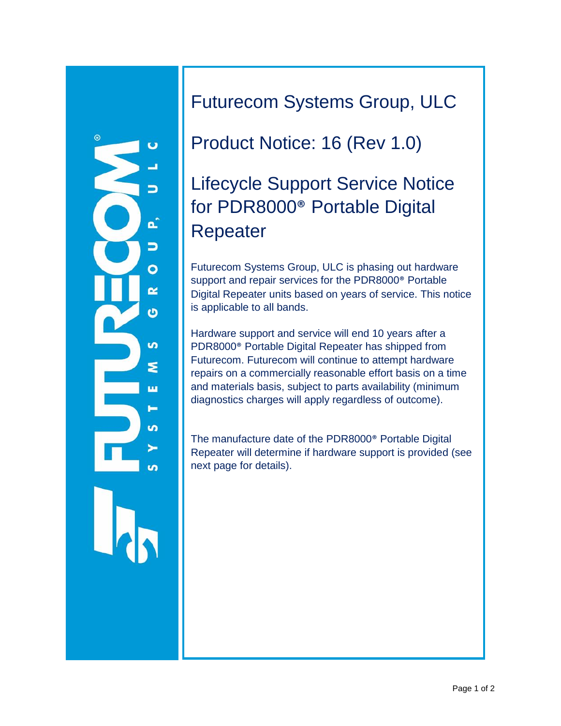

### Futurecom Systems Group, ULC

## Product Notice: 16 (Rev 1.0)

## Lifecycle Support Service Notice for PDR8000® Portable Digital Repeater

Futurecom Systems Group, ULC is phasing out hardware support and repair services for the PDR8000® Portable Digital Repeater units based on years of service. This notice is applicable to all bands.

Hardware support and service will end 10 years after a PDR8000® Portable Digital Repeater has shipped from Futurecom. Futurecom will continue to attempt hardware repairs on a commercially reasonable effort basis on a time and materials basis, subject to parts availability (minimum diagnostics charges will apply regardless of outcome).

The manufacture date of the PDR8000® Portable Digital Repeater will determine if hardware support is provided (see next page for details).